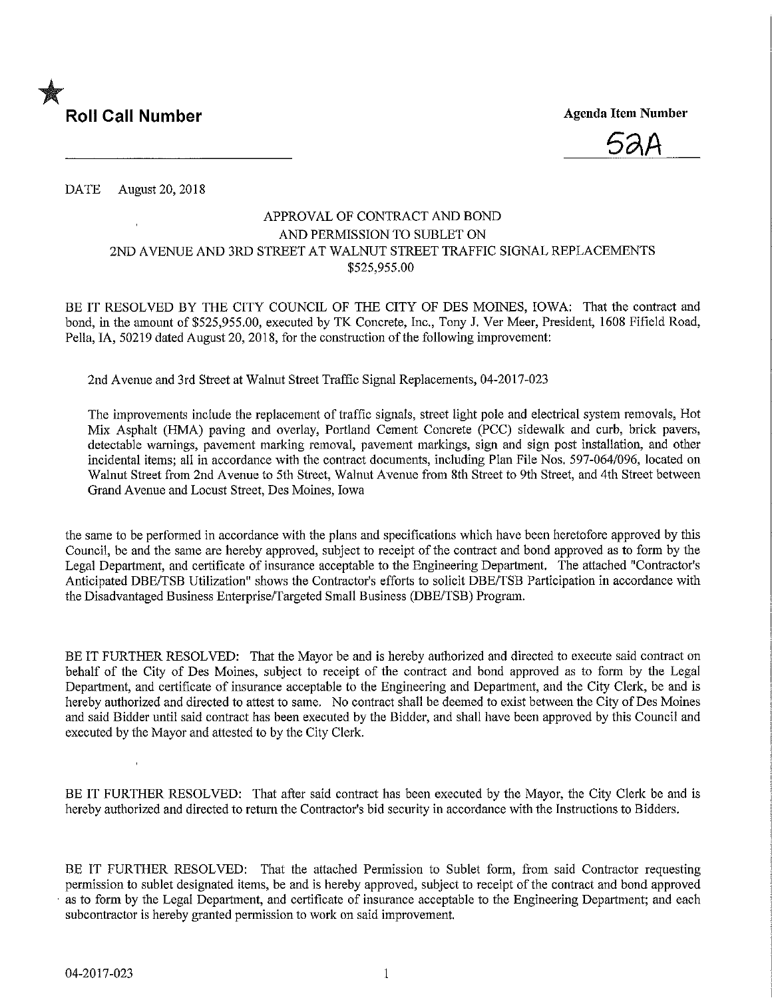

<u>52A</u>

DATE August 20, 2018

### APPROVAL OF CONTRACT AND BOND AND PERMISSION TO SUBLET ON 2ND AVENUE AND 3RD STREET AT WALNUT STREET TRAFFIC SIGNAL REPLACEMENTS \$525,955.00

BE IT RESOLVED BY THE CITY COUNCIL OF THE CITY OF DES MOINES, IOWA: That the contract and bond, in the amount of \$525,955.00, executed by TK Concrete, Inc., Tony J. Ver Meer, President, 1608 Fifield Road, Pella,IA, 50219 dated August 20, 2018, for the construction of the following improvement;

2nd Avenue and 3rd Street at Walnut Street Traffic Signal Replacements, 04-2017-023

The improvements include the replacement of traffic signals, street light pole and electrical system removals. Hot Mix Asphalt (HMA) paving and overlay, Portland Cement Concrete (PCC) sidewalk and curb, brick pavers, detectable warnings, pavement marking removal, pavement markings, sign and sign post installation, and other incidental items; all in accordance with the contract documents, including Plan File Nos. 597-064/096, located on Walnut Street from 2nd Avenue to 5th Street, Walnut Avenue from 8th Street to 9th Street, and 4th Street between Grand Avenue and Locust Street, Des Momes, Iowa

the same to be performed in accordance with the plans and specifications which have been heretofore approved by this Council, be and the same are hereby approved, subject to receipt of the contract and bond approved as to form by the Legal Department, and certificate of insurance acceptable to the Engineering Department. The attached "Contractor's Anticipated DBE/TSB Utilization" shows the Contractor's efforts to solicit DBE/TSB Participation in accordance with the Disadvantaged Business Enterprise/Targeted Small Business (DBE/TSB) Program.

BE IT FURTHER RESOLVED: That the Mayor be and is hereby authorized and directed to execute said contract on behalf of the City of Des Moines, subject to receipt of the contract and bond approved as to form by the Legal Department, and certificate of insurance acceptable to the Engineering and Department, and the City Clerk, be and is hereby authorized and directed to attest to same. No contract shall be deemed to exist between the City of Des Moines and said Bidder until said contract has been executed by the Bidder, and shall have been approved by this Council and executed by the Mayor and attested to by the City Clerk.

BE IT FURTHER RESOLVED: That after said contract has been executed by the Mayor, the City Clerk be and is hereby authorized and directed to return the Contractor's bid security in accordance with the Instructions to Bidders.

BE IT FURTHER RESOLVED: That the attached Permission to Sublet form, from said Contractor requesting permission to sublet designated items, be and is hereby approved, subject to receipt of the contract and bond approved as to form by the Legal Department, and certificate of insurance acceptable to the Engineering Department; and each subcontractor is hereby granted permission to work on said improvement.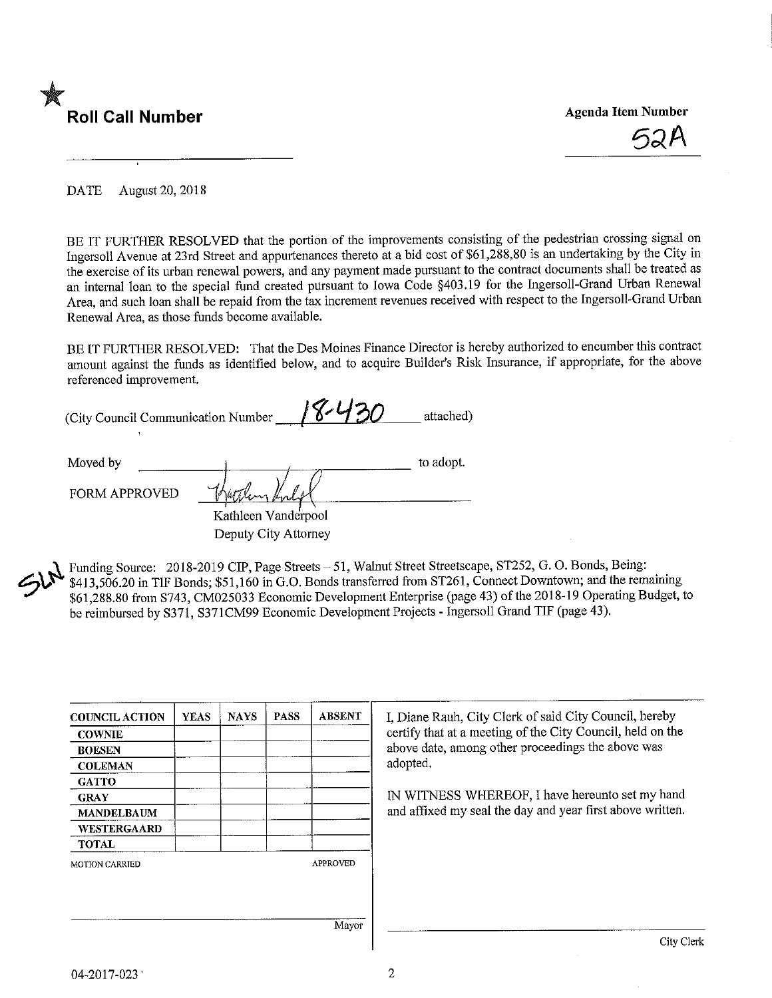

DATE August 20, 2018

BE IT FURTHER RESOLVED that the portion of the improvements consisting of the pedestrian crossing signal on Ingersoll Avenue at 23rd Street and appurtenances thereto at a bid cost of \$61,288,80 is an undertaking by the City m the exercise of its urban renewal powers, and any payment made pursuant to the contract documents shall be treated as an internal loan to the special fund created pursuant to Iowa Code §403.19 for the Ingersoll-Grand Urban Renewal Area, and such loan shall be repaid from the tax increment revenues received with respect to the Ingersoll-Grand Urban Renewal Area, as those funds become available.

BE IT FURTHER RESOLVED: That the Des Moines Finance Director is hereby authorized to encumber this contract amount against the funds as identified below, and to acquire Builder's Risk Insurance, if appropriate, for the above referenced improvement.

| (City Council Communication Number |      | attached) |
|------------------------------------|------|-----------|
| Moved by                           |      | to adopt. |
| <b>FORM APPROVED</b>               | $-1$ |           |

Kathleen Vanderpool Deputy City Attorney

Funding Source: 2018-2019 CIP, Page Streets - 51, Walnut Street Streetscape, ST252, G. O. Bonds, Being: \$413,506.20 in TIF Bonds; \$51,160 in G.O. Bonds transferred from ST261, Connect Downtown; and the remaining \$61,288.80 from S743, CM025033 Economic Development Enterprise (page 43) of the 2018-19 Operating Budget, to be reimbursed by S371, S371CM99 Economic Development Projects - Ingersoll Grand TIP (page 43).

| <b>COUNCIL ACTION</b> | <b>YEAS</b> | <b>NAYS</b> | <b>PASS</b> | <b>ABSENT</b>   | I, Diane Rauh, City Clerk of said City Council, hereby     |
|-----------------------|-------------|-------------|-------------|-----------------|------------------------------------------------------------|
| <b>COWNIE</b>         |             |             |             |                 | certify that at a meeting of the City Council, held on the |
| <b>BOESEN</b>         |             |             |             |                 | above date, among other proceedings the above was          |
| <b>COLEMAN</b>        |             |             |             |                 | adopted.                                                   |
| <b>GATTO</b>          |             |             |             |                 |                                                            |
| <b>GRAY</b>           |             |             |             |                 | IN WITNESS WHEREOF, I have hereunto set my hand            |
| <b>MANDELBAUM</b>     |             |             |             |                 | and affixed my seal the day and year first above written.  |
| <b>WESTERGAARD</b>    |             |             |             |                 |                                                            |
| <b>TOTAL</b>          |             |             |             |                 |                                                            |
| <b>MOTION CARRIED</b> |             |             |             | <b>APPROVED</b> |                                                            |
|                       |             |             |             |                 |                                                            |
|                       |             |             |             |                 |                                                            |
|                       |             |             |             | Mayor           | City Clerk                                                 |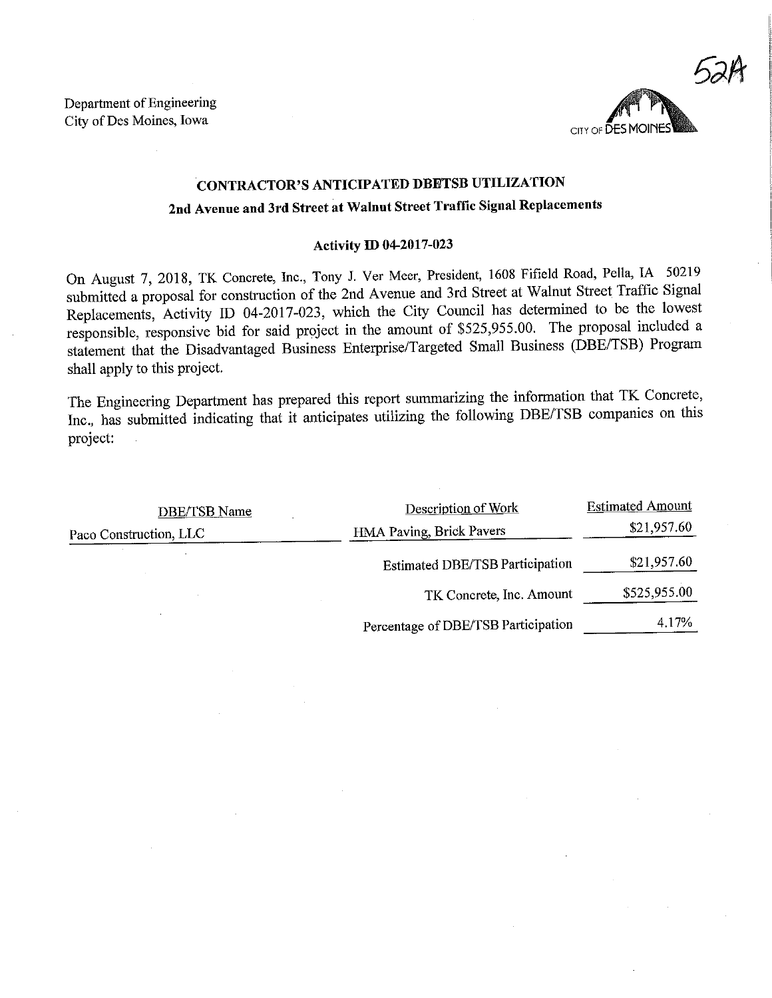Department of Engineering City of Des Moines, Iowa



# CONTRACTOR'S ANTICIPATED DBETSB UTILIZATION 2nd Avenue and 3rd Street at Walnut Street Traffic Signal Replacements

#### Activity ID 04-2017-023

On August 7, 2018, TK Concrete, Inc., Tony J. Ver Meer, President, 1608 Fifield Road, Pella, IA 50219 submitted a proposal for construction of the 2nd Avenue and 3rd Street at Walnut Street Traffic Signal Replacements, Activity ID 04-2017-023, which the City Council has determined to be the lowest responsible, responsive bid for said project in the amount of \$525,955.00. The proposal included a statement that the Disadvantaged Business Enterprise/Targeted Small Business (DBE/TSB) Program shall apply to this project.

The Engineering Department has prepared this report summarizing the information that TK Concrete, Inc., has submitted indicating that it anticipates utilizing the following DBE/TSB companies on this project:

| DBE/TSB Name           | Description of Work                    | <b>Estimated Amount</b> |  |
|------------------------|----------------------------------------|-------------------------|--|
| Paco Construction, LLC | HMA Paving, Brick Pavers               | \$21,957.60             |  |
|                        | <b>Estimated DBE/TSB Participation</b> | \$21,957.60             |  |
|                        | TK Concrete, Inc. Amount               | \$525,955.00            |  |
|                        | Percentage of DBE/TSB Participation    | 4.17%                   |  |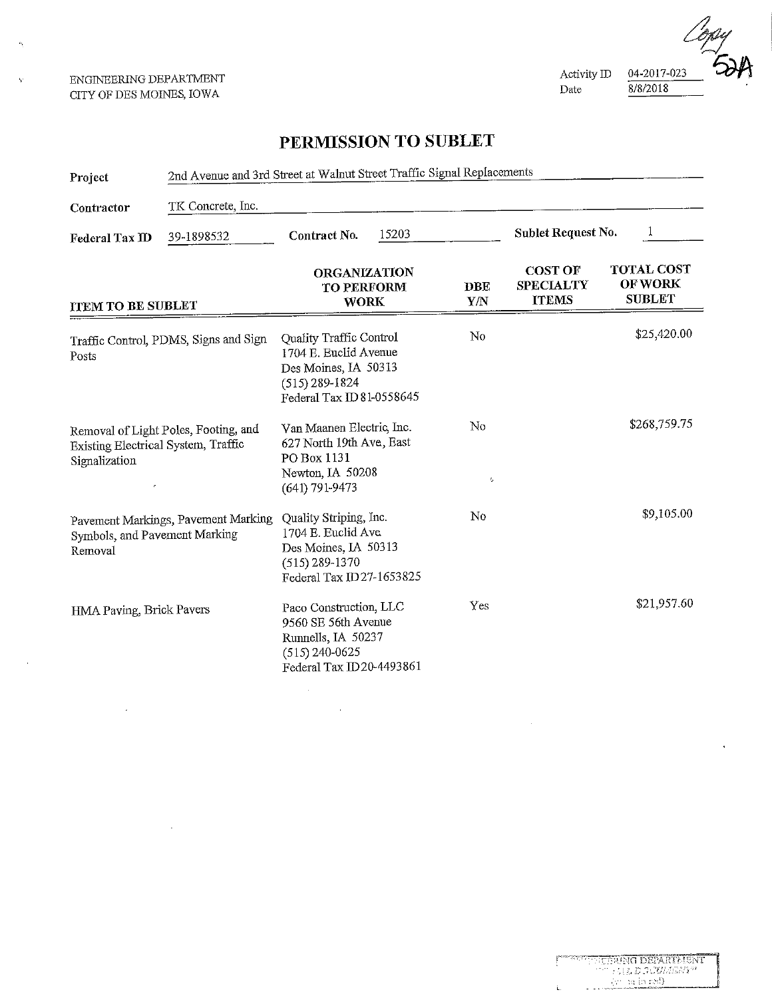ENGINEERING DEPARTMENT CITY OF DES MOINES, IOWA

k.



## PERMISSION TO SUBLET

| Project                                              | 2nd Avenue and 3rd Street at Walnut Street Traffic Signal Replacements |                                                                                                                             |       |                            |                                                    |                                                      |
|------------------------------------------------------|------------------------------------------------------------------------|-----------------------------------------------------------------------------------------------------------------------------|-------|----------------------------|----------------------------------------------------|------------------------------------------------------|
| Contractor                                           | TK Concrete, Inc.                                                      |                                                                                                                             |       |                            |                                                    |                                                      |
| Federal Tax ID                                       | 39-1898532                                                             | Contract No.                                                                                                                | 15203 |                            | Sublet Request No.                                 |                                                      |
| <b>ITEM TO BE SUBLET</b>                             |                                                                        | <b>ORGANIZATION</b><br><b>TO PERFORM</b><br><b>WORK</b>                                                                     |       | <b>DBE</b><br><b>Y/N</b>   | <b>COST OF</b><br><b>SPECIALTY</b><br><b>ITEMS</b> | <b>TOTAL COST</b><br><b>OF WORK</b><br><b>SUBLET</b> |
| Posts                                                | Traffic Control, PDMS, Signs and Sign                                  | Quality Traffic Control<br>1704 E. Euclid Avenue<br>Des Moines, IA 50313<br>$(515) 289 - 1824$<br>Federal Tax ID 81-0558645 |       | No                         |                                                    | \$25,420.00                                          |
| Existing Electrical System, Traffic<br>Signalization | Removal of Light Poles, Footing, and                                   | Van Maanen Electric, Inc.<br>627 North 19th Ave, East<br>PO Box 1131<br>Newton, IA 50208<br>(641) 791-9473                  |       | $\rm No$<br>$\ell_{\rm B}$ |                                                    | \$268,759.75                                         |
| Symbols, and Pavement Marking<br>Removal             | Pavement Markings, Pavement Marking                                    | Quality Striping, Inc.<br>1704 E. Euclid Ave<br>Des Moines, IA 50313<br>$(515)$ 289-1370<br>Federal Tax ID27-1653825        |       | No                         |                                                    | \$9,105.00                                           |
| HMA Paving, Brick Pavers                             |                                                                        | Paco Construction, LLC<br>9560 SE 56th Avenue<br>Runnells, IA 50237<br>$(515)$ 240-0625<br>Federal Tax ID20-4493861         |       | Yes                        |                                                    | \$21,957.60                                          |

 $\bar{\alpha}$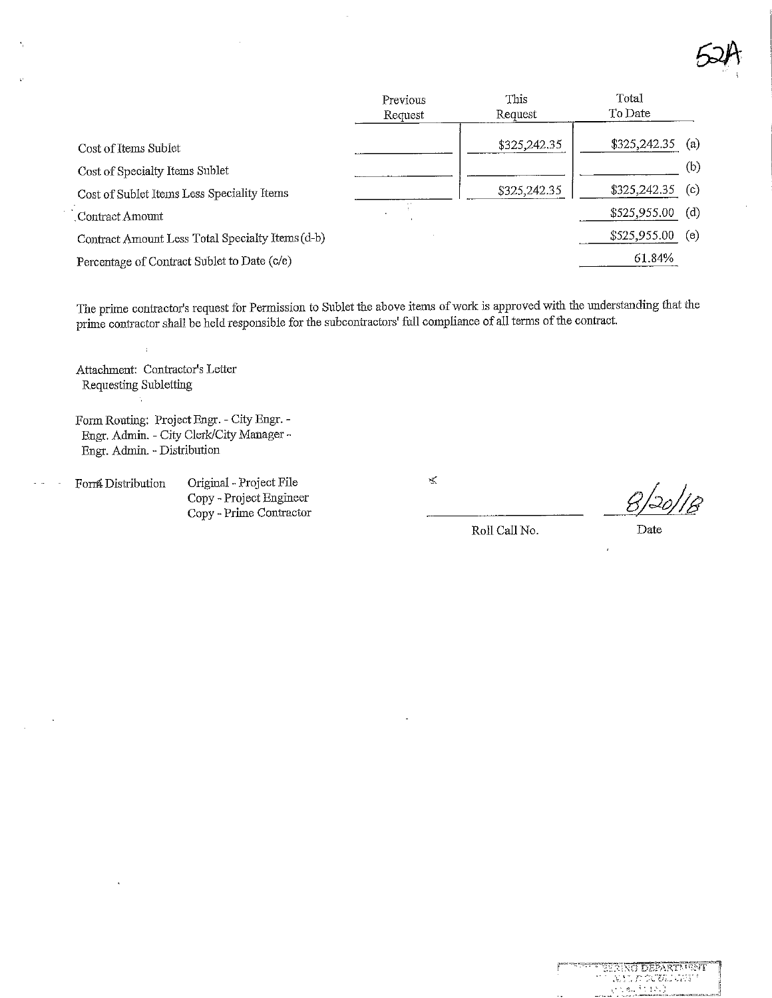

|                                                  | Previous<br>Request | This<br>Request | Total<br>To Date |     |
|--------------------------------------------------|---------------------|-----------------|------------------|-----|
| Cost of Items Sublet                             |                     | \$325,242.35    | \$325,242.35     | (a) |
| Cost of Specialty Items Sublet                   |                     |                 |                  | (b) |
| Cost of Sublet Items Less Speciality Items       |                     | \$325,242.35    | \$325,242.35     | (c) |
| Contract Amount                                  |                     |                 | \$525,955.00     | (d) |
| Contract Amount Less Total Specialty Items (d-b) |                     |                 | \$525,955.00     | (e) |
| Percentage of Contract Sublet to Date (c/e)      |                     |                 | 61.84%           |     |

The prime contractor's request for Permission to Sublet the above items of work is approved with the understanding that the prime contractor shall be held responsible for the subcontractors' full compliance of all terms of the contract.

Attachment: Contractor's Letter Requesting Subletting

 $\overline{1}$ 

Form Routing; Project Bngr. - City Engr. - Engr. Admin. - City Clerk/City Manager -Engr. Admin. ~ Distribution

Forr& Distribution. Original - Project Pile

Copy - Project Bngineer Copy - Prime Contractor  $\mathbf{x}$ 

-20)

Roll Call No. Date

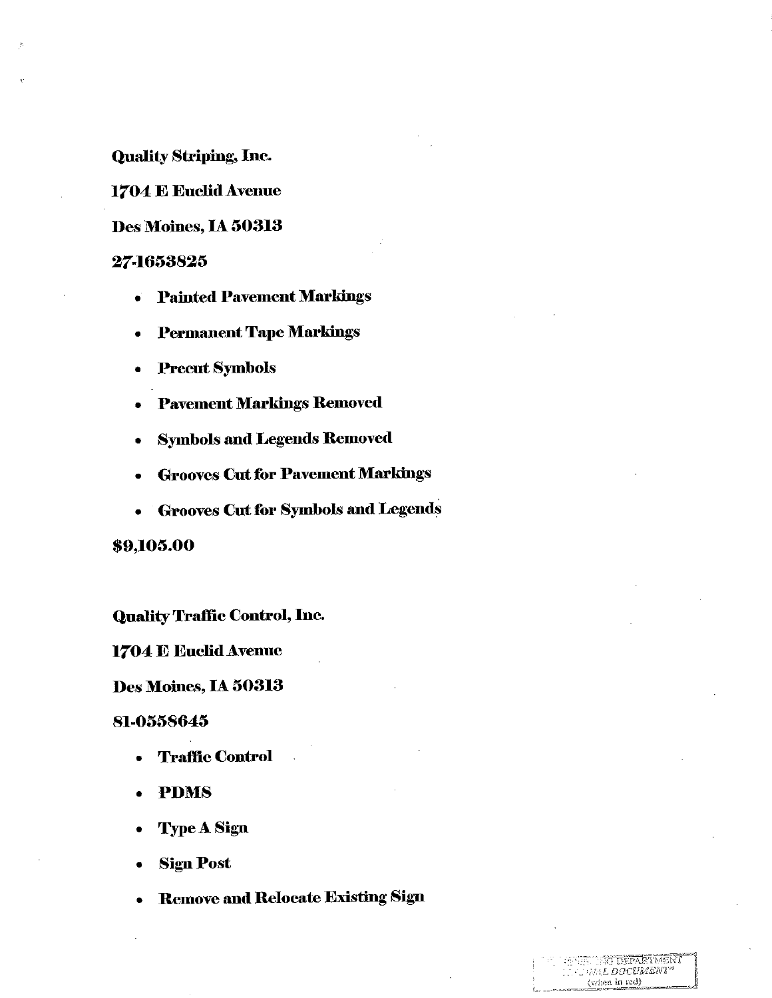**Quality Striping, Inc.** 

1704 E Euclid Avenue

Des Moines, IA 50313

### 27-1653825

- Painted Pavement Markings
- **Permanent Tape Markings**  $\bullet$
- Precut Symbols
- **Pavement Markings Removed**  $\bullet$
- **Symbols and Legends Removed**  $\bullet$
- **Grooves Cut for Pavement Markings**
- Grooves Cut for Symbols and Legends

\$9,105.00

**Quality Traffic Control, Inc.** 

1704 E Euclid Avenue

Des Moines, IA 50313

#### 81-0558645

- **Traffic Control**  $\bullet$
- **PDMS**  $\bullet$
- **Type A Sign**
- **Sign Post**  $\bullet$
- **Remove and Relocate Existing Sign**

**IG DEPARTMENT MAL DOCUMENT"** (when in red)